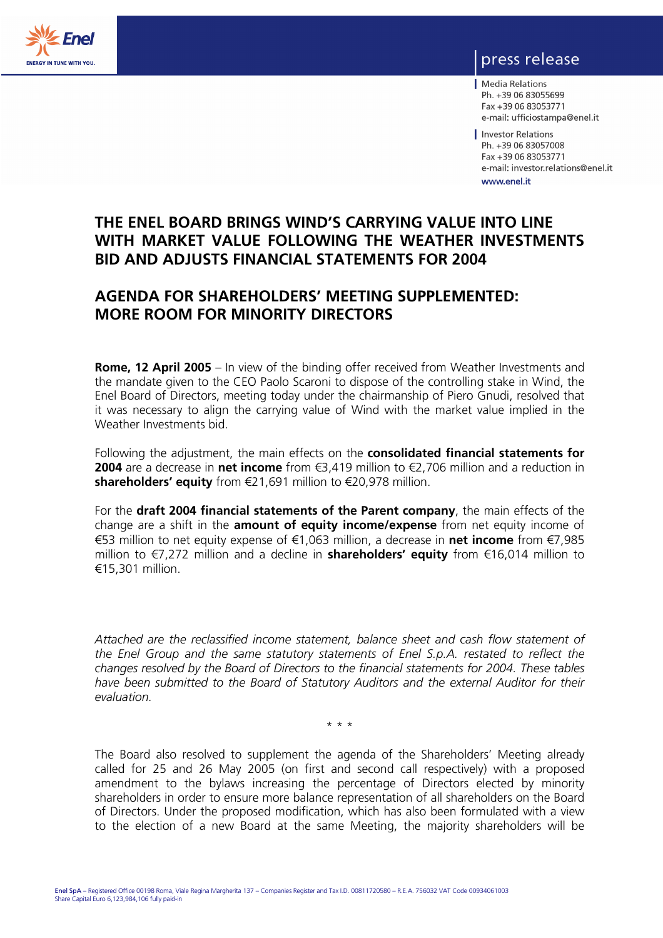

# press release

Media Relations Ph. +39 06 83055699 Fax +39 06 83053771 e-mail: ufficiostampa@enel.it

Investor Relations Ph. +39 06 83057008 Fax +39 06 83053771 e-mail: investor.relations@enel.it www.enel.it

# **THE ENEL BOARD BRINGS WIND'S CARRYING VALUE INTO LINE WITH MARKET VALUE FOLLOWING THE WEATHER INVESTMENTS BID AND ADJUSTS FINANCIAL STATEMENTS FOR 2004**

# **AGENDA FOR SHAREHOLDERS' MEETING SUPPLEMENTED: MORE ROOM FOR MINORITY DIRECTORS**

**Rome, 12 April 2005** – In view of the binding offer received from Weather Investments and the mandate given to the CEO Paolo Scaroni to dispose of the controlling stake in Wind, the Enel Board of Directors, meeting today under the chairmanship of Piero Gnudi, resolved that it was necessary to align the carrying value of Wind with the market value implied in the Weather Investments bid.

Following the adjustment, the main effects on the **consolidated financial statements for 2004** are a decrease in **net income** from €3,419 million to €2,706 million and a reduction in **shareholders' equity** from €21,691 million to €20,978 million.

For the **draft 2004 financial statements of the Parent company**, the main effects of the change are a shift in the **amount of equity income/expense** from net equity income of €53 million to net equity expense of €1,063 million, a decrease in **net income** from €7,985 million to €7,272 million and a decline in **shareholders' equity** from €16,014 million to €15,301 million.

*Attached are the reclassified income statement, balance sheet and cash flow statement of the Enel Group and the same statutory statements of Enel S.p.A. restated to reflect the changes resolved by the Board of Directors to the financial statements for 2004. These tables have been submitted to the Board of Statutory Auditors and the external Auditor for their evaluation.* 

\* \* \*

The Board also resolved to supplement the agenda of the Shareholders' Meeting already called for 25 and 26 May 2005 (on first and second call respectively) with a proposed amendment to the bylaws increasing the percentage of Directors elected by minority shareholders in order to ensure more balance representation of all shareholders on the Board of Directors. Under the proposed modification, which has also been formulated with a view to the election of a new Board at the same Meeting, the majority shareholders will be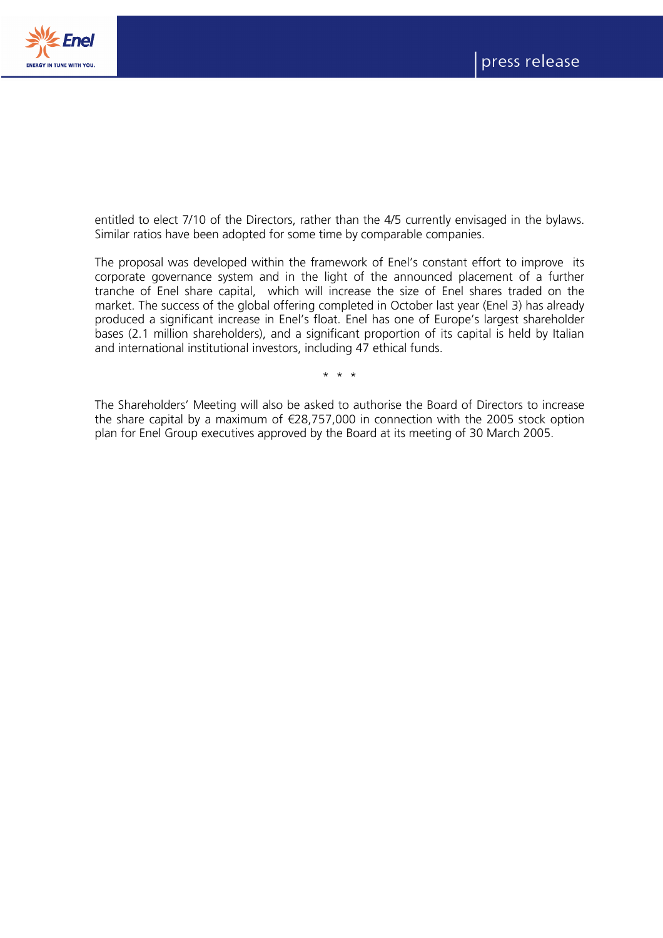



entitled to elect 7/10 of the Directors, rather than the 4/5 currently envisaged in the bylaws. Similar ratios have been adopted for some time by comparable companies.

The proposal was developed within the framework of Enel's constant effort to improve its corporate governance system and in the light of the announced placement of a further tranche of Enel share capital, which will increase the size of Enel shares traded on the market. The success of the global offering completed in October last year (Enel 3) has already produced a significant increase in Enel's float. Enel has one of Europe's largest shareholder bases (2.1 million shareholders), and a significant proportion of its capital is held by Italian and international institutional investors, including 47 ethical funds.

\* \* \*

The Shareholders' Meeting will also be asked to authorise the Board of Directors to increase the share capital by a maximum of  $\epsilon$ 28,757,000 in connection with the 2005 stock option plan for Enel Group executives approved by the Board at its meeting of 30 March 2005.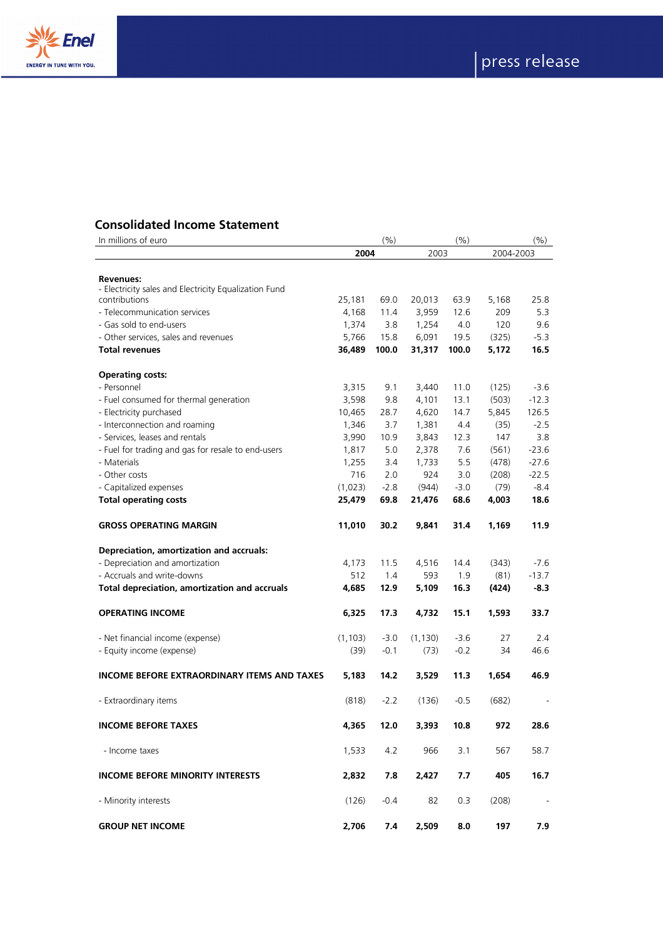



# **Consolidated Income Statement**<br>In millions of euro

| In millions of euro                                                    |          | (%)    |          | (%)    |           | (%)     |
|------------------------------------------------------------------------|----------|--------|----------|--------|-----------|---------|
|                                                                        | 2004     |        | 2003     |        | 2004-2003 |         |
|                                                                        |          |        |          |        |           |         |
| <b>Revenues:</b>                                                       |          |        |          |        |           |         |
| - Electricity sales and Electricity Equalization Fund<br>contributions | 25,181   | 69.0   | 20,013   | 63.9   | 5,168     | 25.8    |
| - Telecommunication services                                           | 4,168    | 11.4   | 3,959    | 12.6   | 209       | 5.3     |
| - Gas sold to end-users                                                | 1,374    | 3.8    | 1,254    | 4.0    | 120       | 9.6     |
| - Other services, sales and revenues                                   | 5,766    | 15.8   | 6,091    | 19.5   | (325)     | $-5.3$  |
| <b>Total revenues</b>                                                  | 36,489   | 100.0  | 31,317   | 100.0  | 5,172     | 16.5    |
|                                                                        |          |        |          |        |           |         |
| <b>Operating costs:</b>                                                |          |        |          |        |           |         |
| - Personnel                                                            | 3,315    | 9.1    | 3,440    | 11.0   | (125)     | $-3.6$  |
| - Fuel consumed for thermal generation                                 | 3,598    | 9.8    | 4,101    | 13.1   | (503)     | $-12.3$ |
| - Electricity purchased                                                | 10,465   | 28.7   | 4,620    | 14.7   | 5,845     | 126.5   |
| - Interconnection and roaming                                          | 1,346    | 3.7    | 1,381    | 4.4    | (35)      | $-2.5$  |
| - Services, leases and rentals                                         | 3,990    | 10.9   | 3,843    | 12.3   | 147       | 3.8     |
| - Fuel for trading and gas for resale to end-users                     | 1,817    | 5.0    | 2,378    | 7.6    | (561)     | $-23.6$ |
| - Materials                                                            | 1,255    | 3.4    | 1,733    | 5.5    | (478)     | $-27.6$ |
| - Other costs                                                          | 716      | 2.0    | 924      | 3.0    | (208)     | $-22.5$ |
| - Capitalized expenses                                                 | (1,023)  | $-2.8$ | (944)    | $-3.0$ | (79)      | $-8.4$  |
| <b>Total operating costs</b>                                           | 25,479   | 69.8   | 21,476   | 68.6   | 4,003     | 18.6    |
| <b>GROSS OPERATING MARGIN</b>                                          | 11,010   | 30.2   | 9,841    | 31.4   | 1,169     | 11.9    |
| Depreciation, amortization and accruals:                               |          |        |          |        |           |         |
| - Depreciation and amortization                                        | 4,173    | 11.5   | 4,516    | 14.4   | (343)     | $-7.6$  |
| - Accruals and write-downs                                             | 512      | 1.4    | 593      | 1.9    | (81)      | $-13.7$ |
| Total depreciation, amortization and accruals                          | 4,685    | 12.9   | 5,109    | 16.3   | (424)     | $-8.3$  |
| <b>OPERATING INCOME</b>                                                | 6,325    | 17.3   | 4,732    | 15.1   | 1,593     | 33.7    |
| - Net financial income (expense)                                       | (1, 103) | $-3.0$ | (1, 130) | $-3.6$ | 27        | 2.4     |
| - Equity income (expense)                                              | (39)     | $-0.1$ | (73)     | $-0.2$ | 34        | 46.6    |
|                                                                        |          |        |          |        |           |         |
| <b>INCOME BEFORE EXTRAORDINARY ITEMS AND TAXES</b>                     | 5,183    | 14.2   | 3,529    | 11.3   | 1,654     | 46.9    |
| - Extraordinary items                                                  | (818)    | $-2.2$ | (136)    | $-0.5$ | (682)     |         |
| <b>INCOME BEFORE TAXES</b>                                             | 4.365    | 12.0   | 3.393    | 10.8   | 972       | 28.6    |
| - Income taxes                                                         | 1,533    | 4.2    | 966      | 3.1    | 567       | 58.7    |
| <b>INCOME BEFORE MINORITY INTERESTS</b>                                | 2,832    | 7.8    | 2,427    | 7.7    | 405       | 16.7    |
| - Minority interests                                                   | (126)    | $-0.4$ | 82       | 0.3    | (208)     |         |
| <b>GROUP NET INCOME</b>                                                | 2,706    | 7.4    | 2,509    | 8.0    | 197       | 7.9     |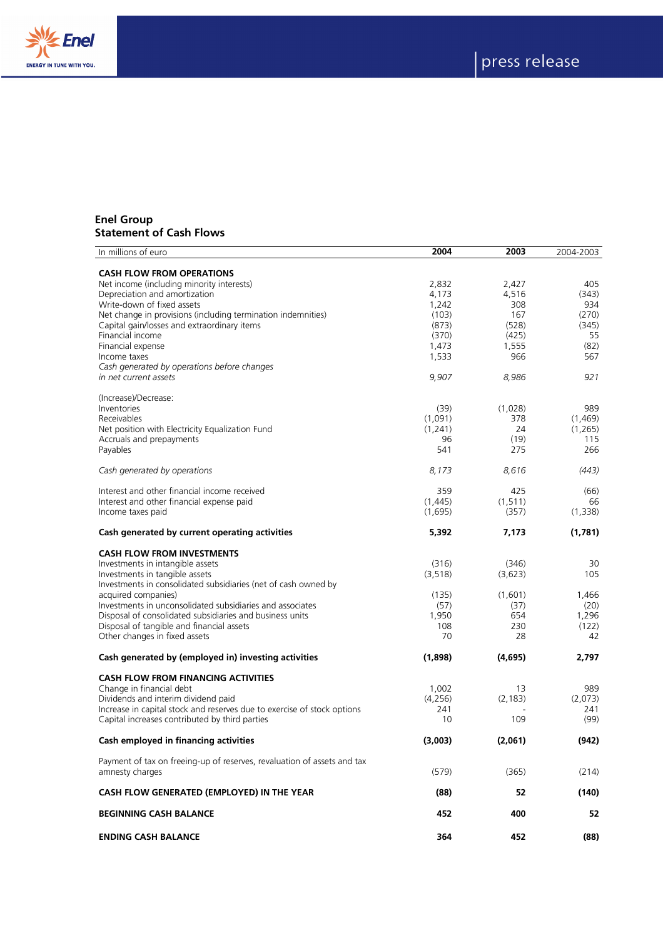



#### **Enel Group Statement of Cash Flows**

| In millions of euro                                                     | 2004           | 2003         | 2004-2003       |
|-------------------------------------------------------------------------|----------------|--------------|-----------------|
|                                                                         |                |              |                 |
| <b>CASH FLOW FROM OPERATIONS</b>                                        |                |              |                 |
| Net income (including minority interests)                               | 2,832          | 2,427        | 405             |
| Depreciation and amortization<br>Write-down of fixed assets             | 4,173<br>1,242 | 4,516<br>308 | (343)<br>934    |
| Net change in provisions (including termination indemnities)            | (103)          | 167          | (270)           |
| Capital gain/losses and extraordinary items                             | (873)          | (528)        | (345)           |
| Financial income                                                        | (370)          | (425)        | 55              |
| Financial expense                                                       | 1,473          | 1,555        | (82)            |
| Income taxes                                                            | 1,533          | 966          | 567             |
| Cash generated by operations before changes                             |                |              |                 |
| in net current assets                                                   | 9,907          | 8,986        | 921             |
|                                                                         |                |              |                 |
| (Increase)/Decrease:                                                    |                |              |                 |
| Inventories                                                             | (39)           | (1,028)      | 989             |
| Receivables                                                             | (1,091)        | 378<br>24    | (1,469)         |
| Net position with Electricity Equalization Fund                         | (1, 241)<br>96 | (19)         | (1, 265)<br>115 |
| Accruals and prepayments<br>Payables                                    | 541            | 275          | 266             |
|                                                                         |                |              |                 |
| Cash generated by operations                                            | 8,173          | 8,616        | (443)           |
| Interest and other financial income received                            | 359            | 425          | (66)            |
| Interest and other financial expense paid                               | (1,445)        | (1, 511)     | 66              |
| Income taxes paid                                                       | (1,695)        | (357)        | (1, 338)        |
|                                                                         |                |              |                 |
| Cash generated by current operating activities                          | 5,392          | 7,173        | (1,781)         |
| <b>CASH FLOW FROM INVESTMENTS</b>                                       |                |              |                 |
| Investments in intangible assets                                        | (316)          | (346)        | 30              |
| Investments in tangible assets                                          | (3, 518)       | (3,623)      | 105             |
| Investments in consolidated subsidiaries (net of cash owned by          |                |              |                 |
| acquired companies)                                                     | (135)          | (1,601)      | 1,466           |
| Investments in unconsolidated subsidiaries and associates               | (57)           | (37)         | (20)            |
| Disposal of consolidated subsidiaries and business units                | 1,950          | 654          | 1,296           |
| Disposal of tangible and financial assets                               | 108            | 230          | (122)           |
| Other changes in fixed assets                                           | 70             | 28           | 42              |
| Cash generated by (employed in) investing activities                    | (1,898)        | (4,695)      | 2,797           |
|                                                                         |                |              |                 |
| <b>CASH FLOW FROM FINANCING ACTIVITIES</b>                              |                |              |                 |
| Change in financial debt                                                | 1,002          | 13           | 989             |
| Dividends and interim dividend paid                                     | (4,256)        | (2, 183)     | (2,073)         |
| Increase in capital stock and reserves due to exercise of stock options | 241            |              | 241             |
| Capital increases contributed by third parties                          | 10             | 109          | (99)            |
| Cash employed in financing activities                                   | (3,003)        | (2,061)      | (942)           |
| Payment of tax on freeing-up of reserves, revaluation of assets and tax |                |              |                 |
| amnesty charges                                                         | (579)          | (365)        | (214)           |
|                                                                         |                |              |                 |
| CASH FLOW GENERATED (EMPLOYED) IN THE YEAR                              | (88)           | 52           | (140)           |
| <b>BEGINNING CASH BALANCE</b>                                           | 452            | 400          | 52              |
| <b>ENDING CASH BALANCE</b>                                              | 364            | 452          | (88)            |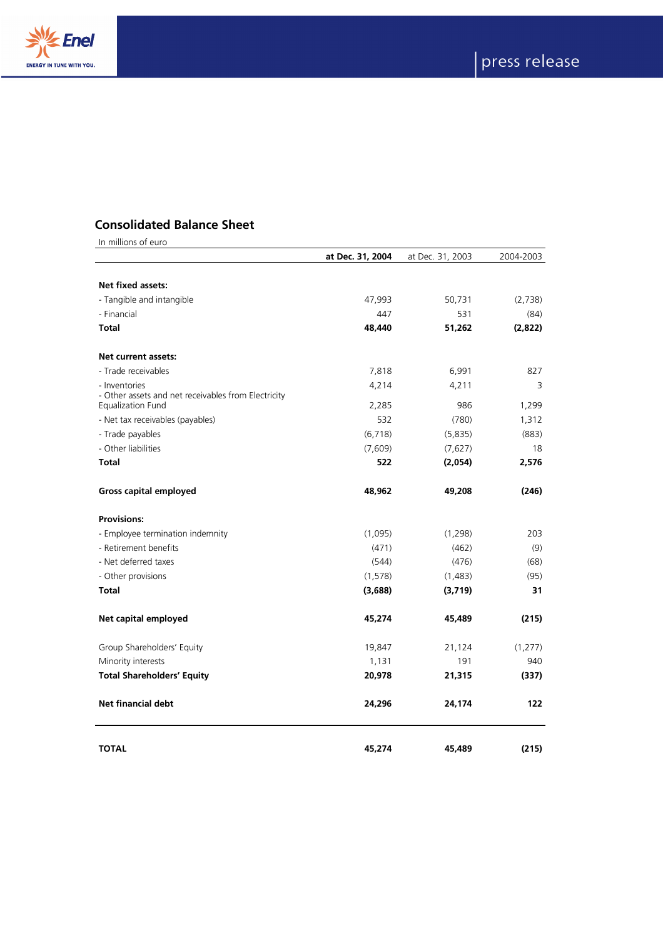



## **Consolidated Balance Sheet**

| In millions of euro                                                      |                  |                  |           |
|--------------------------------------------------------------------------|------------------|------------------|-----------|
|                                                                          | at Dec. 31, 2004 | at Dec. 31, 2003 | 2004-2003 |
| Net fixed assets:                                                        |                  |                  |           |
| - Tangible and intangible                                                | 47,993           | 50,731           | (2,738)   |
| - Financial                                                              | 447              | 531              | (84)      |
| <b>Total</b>                                                             | 48,440           | 51,262           | (2,822)   |
| <b>Net current assets:</b>                                               |                  |                  |           |
| - Trade receivables                                                      | 7,818            | 6,991            | 827       |
| - Inventories                                                            | 4,214            | 4,211            | 3         |
| - Other assets and net receivables from Electricity<br>Equalization Fund | 2,285            | 986              | 1,299     |
| - Net tax receivables (payables)                                         | 532              | (780)            | 1,312     |
| - Trade payables                                                         | (6, 718)         | (5,835)          | (883)     |
| - Other liabilities                                                      | (7,609)          | (7,627)          | 18        |
| <b>Total</b>                                                             | 522              | (2,054)          | 2,576     |
| <b>Gross capital employed</b>                                            | 48,962           | 49,208           | (246)     |
| <b>Provisions:</b>                                                       |                  |                  |           |
| - Employee termination indemnity                                         | (1,095)          | (1, 298)         | 203       |
| - Retirement benefits                                                    | (471)            | (462)            | (9)       |
| - Net deferred taxes                                                     | (544)            | (476)            | (68)      |
| - Other provisions                                                       | (1, 578)         | (1,483)          | (95)      |
| <b>Total</b>                                                             | (3,688)          | (3,719)          | 31        |
| Net capital employed                                                     | 45,274           | 45,489           | (215)     |
| Group Shareholders' Equity                                               | 19,847           | 21,124           | (1,277)   |
| Minority interests                                                       | 1,131            | 191              | 940       |
| <b>Total Shareholders' Equity</b>                                        | 20,978           | 21,315           | (337)     |
| <b>Net financial debt</b>                                                | 24,296           | 24,174           | 122       |
| <b>TOTAL</b>                                                             | 45,274           | 45,489           | (215)     |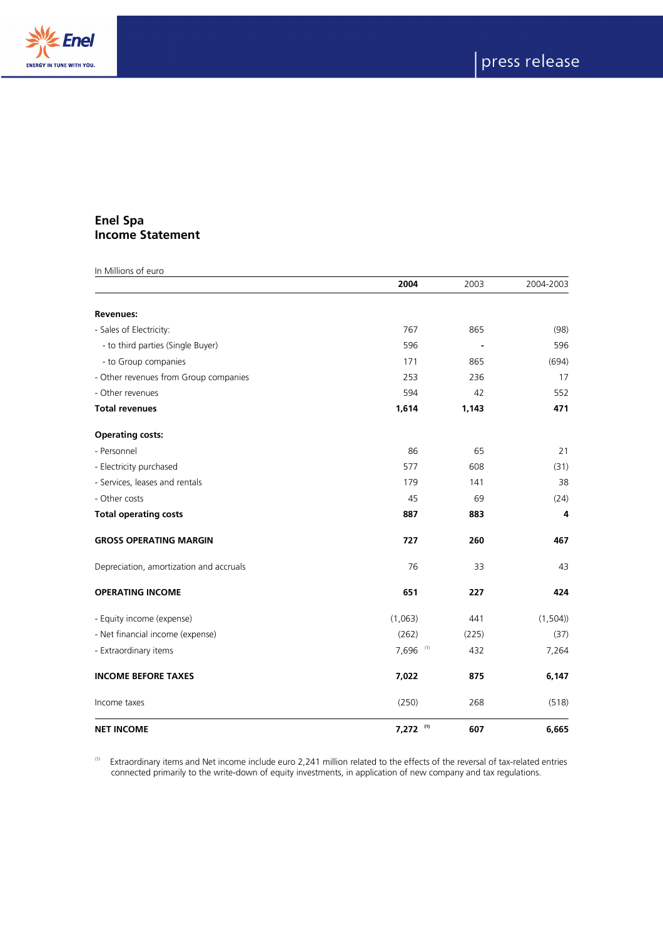



## **Enel Spa Income Statement**

| In Millions of euro                     |              |       |           |
|-----------------------------------------|--------------|-------|-----------|
|                                         | 2004         | 2003  | 2004-2003 |
| <b>Revenues:</b>                        |              |       |           |
| - Sales of Electricity:                 | 767          | 865   | (98)      |
| - to third parties (Single Buyer)       | 596          |       | 596       |
| - to Group companies                    | 171          | 865   | (694)     |
| - Other revenues from Group companies   | 253          | 236   | 17        |
| - Other revenues                        | 594          | 42    | 552       |
| <b>Total revenues</b>                   | 1,614        | 1,143 | 471       |
| <b>Operating costs:</b>                 |              |       |           |
| - Personnel                             | 86           | 65    | 21        |
| - Electricity purchased                 | 577          | 608   | (31)      |
| - Services, leases and rentals          | 179          | 141   | 38        |
| - Other costs                           | 45           | 69    | (24)      |
| <b>Total operating costs</b>            | 887          | 883   | 4         |
| <b>GROSS OPERATING MARGIN</b>           | 727          | 260   | 467       |
| Depreciation, amortization and accruals | 76           | 33    | 43        |
| <b>OPERATING INCOME</b>                 | 651          | 227   | 424       |
| - Equity income (expense)               | (1,063)      | 441   | (1,504)   |
| - Net financial income (expense)        | (262)        | (225) | (37)      |
| - Extraordinary items                   | 7,696<br>(1) | 432   | 7,264     |
| <b>INCOME BEFORE TAXES</b>              | 7,022        | 875   | 6,147     |
| Income taxes                            | (250)        | 268   | (518)     |
| <b>NET INCOME</b>                       | 7,272 (1)    | 607   | 6,665     |

 $^{(1)}$  Extraordinary items and Net income include euro 2,241 million related to the effects of the reversal of tax-related entries connected primarily to the write-down of equity investments, in application of new company and tax regulations.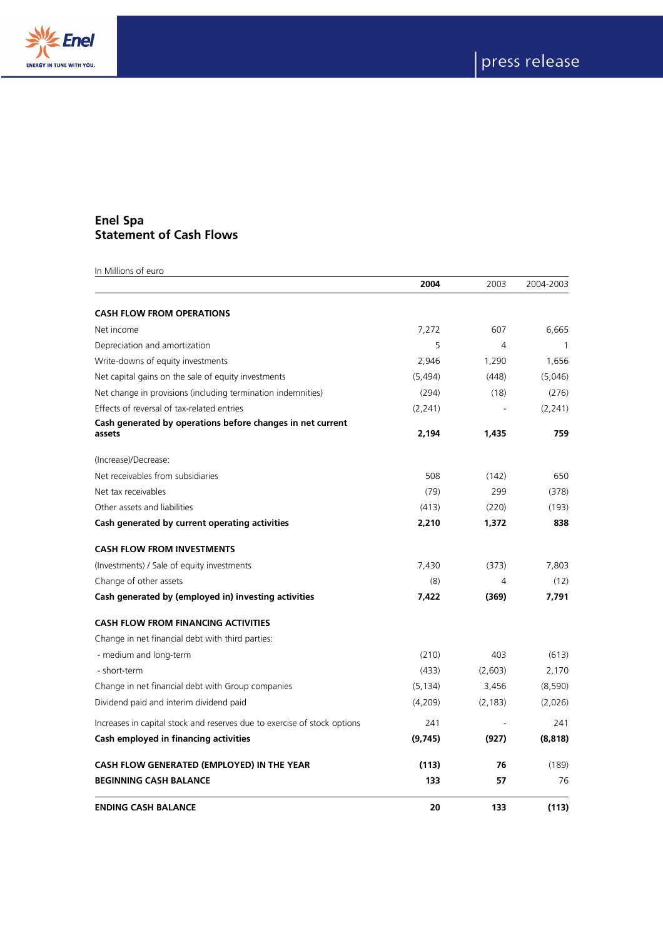



## **Enel Spa Statement of Cash Flows**

| In Millions of euro                                                      | 2004     | 2003     | 2004-2003 |
|--------------------------------------------------------------------------|----------|----------|-----------|
|                                                                          |          |          |           |
| <b>CASH FLOW FROM OPERATIONS</b>                                         |          |          |           |
| Net income                                                               | 7,272    | 607      | 6,665     |
| Depreciation and amortization                                            | 5        | 4        | 1         |
| Write-downs of equity investments                                        | 2,946    | 1,290    | 1,656     |
| Net capital gains on the sale of equity investments                      | (5,494)  | (448)    | (5,046)   |
| Net change in provisions (including termination indemnities)             | (294)    | (18)     | (276)     |
| Effects of reversal of tax-related entries                               | (2,241)  |          | (2,241)   |
| Cash generated by operations before changes in net current<br>assets     | 2,194    | 1,435    | 759       |
| (Increase)/Decrease:                                                     |          |          |           |
| Net receivables from subsidiaries                                        | 508      | (142)    | 650       |
| Net tax receivables                                                      | (79)     | 299      | (378)     |
| Other assets and liabilities                                             | (413)    | (220)    | (193)     |
| Cash generated by current operating activities                           | 2,210    | 1,372    | 838       |
| <b>CASH FLOW FROM INVESTMENTS</b>                                        |          |          |           |
| (Investments) / Sale of equity investments                               | 7,430    | (373)    | 7,803     |
| Change of other assets                                                   | (8)      | 4        | (12)      |
| Cash generated by (employed in) investing activities                     | 7.422    | (369)    | 7,791     |
| <b>CASH FLOW FROM FINANCING ACTIVITIES</b>                               |          |          |           |
| Change in net financial debt with third parties:                         |          |          |           |
| - medium and long-term                                                   | (210)    | 403      | (613)     |
| - short-term                                                             | (433)    | (2,603)  | 2,170     |
| Change in net financial debt with Group companies                        | (5, 134) | 3,456    | (8,590)   |
| Dividend paid and interim dividend paid                                  | (4,209)  | (2, 183) | (2,026)   |
| Increases in capital stock and reserves due to exercise of stock options | 241      |          | 241       |
| Cash employed in financing activities                                    | (9,745)  | (927)    | (8, 818)  |
| CASH FLOW GENERATED (EMPLOYED) IN THE YEAR                               | (113)    | 76       | (189)     |
| <b>BEGINNING CASH BALANCE</b>                                            | 133      | 57       | 76        |
| <b>ENDING CASH BALANCE</b>                                               | 20       | 133      | (113)     |